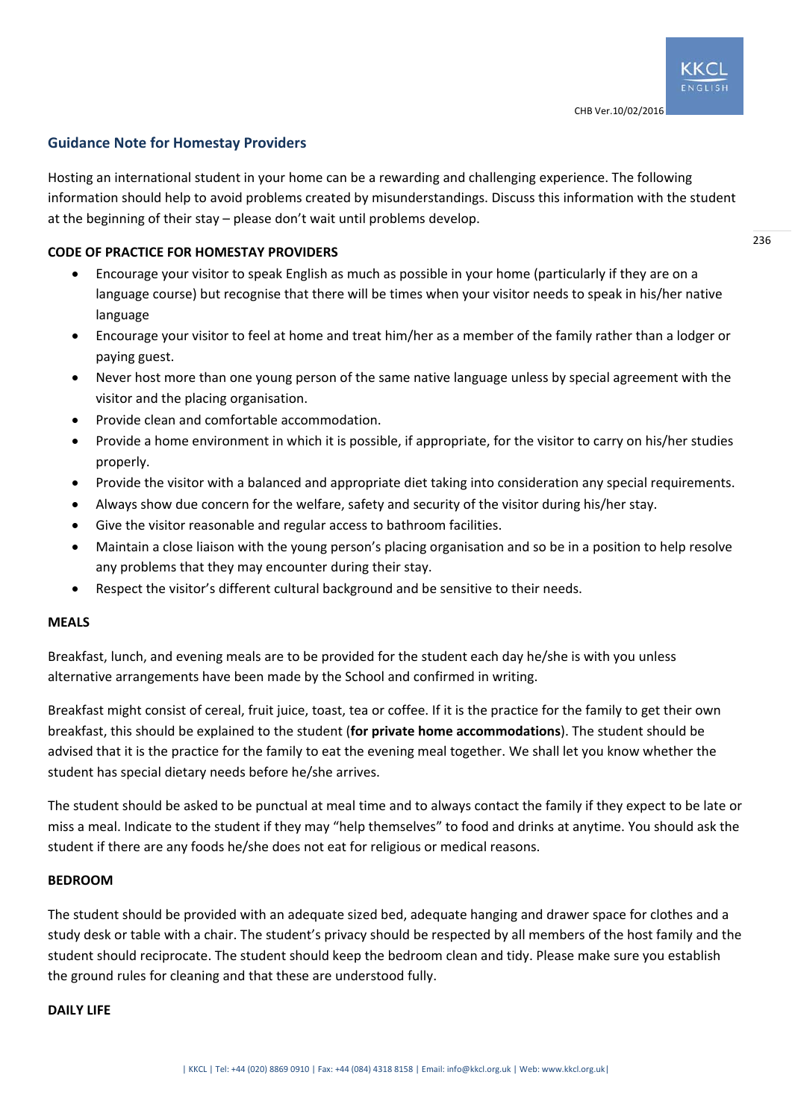# **Guidance Note for Homestay Providers**

Hosting an international student in your home can be a rewarding and challenging experience. The following information should help to avoid problems created by misunderstandings. Discuss this information with the student at the beginning of their stay – please don't wait until problems develop.

## **CODE OF PRACTICE FOR HOMESTAY PROVIDERS**

- Encourage your visitor to speak English as much as possible in your home (particularly if they are on a language course) but recognise that there will be times when your visitor needs to speak in his/her native language
- Encourage your visitor to feel at home and treat him/her as a member of the family rather than a lodger or paying guest.
- Never host more than one young person of the same native language unless by special agreement with the visitor and the placing organisation.
- Provide clean and comfortable accommodation.
- Provide a home environment in which it is possible, if appropriate, for the visitor to carry on his/her studies properly.
- Provide the visitor with a balanced and appropriate diet taking into consideration any special requirements.
- Always show due concern for the welfare, safety and security of the visitor during his/her stay.
- Give the visitor reasonable and regular access to bathroom facilities.
- Maintain a close liaison with the young person's placing organisation and so be in a position to help resolve any problems that they may encounter during their stay.
- Respect the visitor's different cultural background and be sensitive to their needs.

#### **MEALS**

Breakfast, lunch, and evening meals are to be provided for the student each day he/she is with you unless alternative arrangements have been made by the School and confirmed in writing.

Breakfast might consist of cereal, fruit juice, toast, tea or coffee. If it is the practice for the family to get their own breakfast, this should be explained to the student (**for private home accommodations**). The student should be advised that it is the practice for the family to eat the evening meal together. We shall let you know whether the student has special dietary needs before he/she arrives.

The student should be asked to be punctual at meal time and to always contact the family if they expect to be late or miss a meal. Indicate to the student if they may "help themselves" to food and drinks at anytime. You should ask the student if there are any foods he/she does not eat for religious or medical reasons.

## **BEDROOM**

The student should be provided with an adequate sized bed, adequate hanging and drawer space for clothes and a study desk or table with a chair. The student's privacy should be respected by all members of the host family and the student should reciprocate. The student should keep the bedroom clean and tidy. Please make sure you establish the ground rules for cleaning and that these are understood fully.

#### **DAILY LIFE**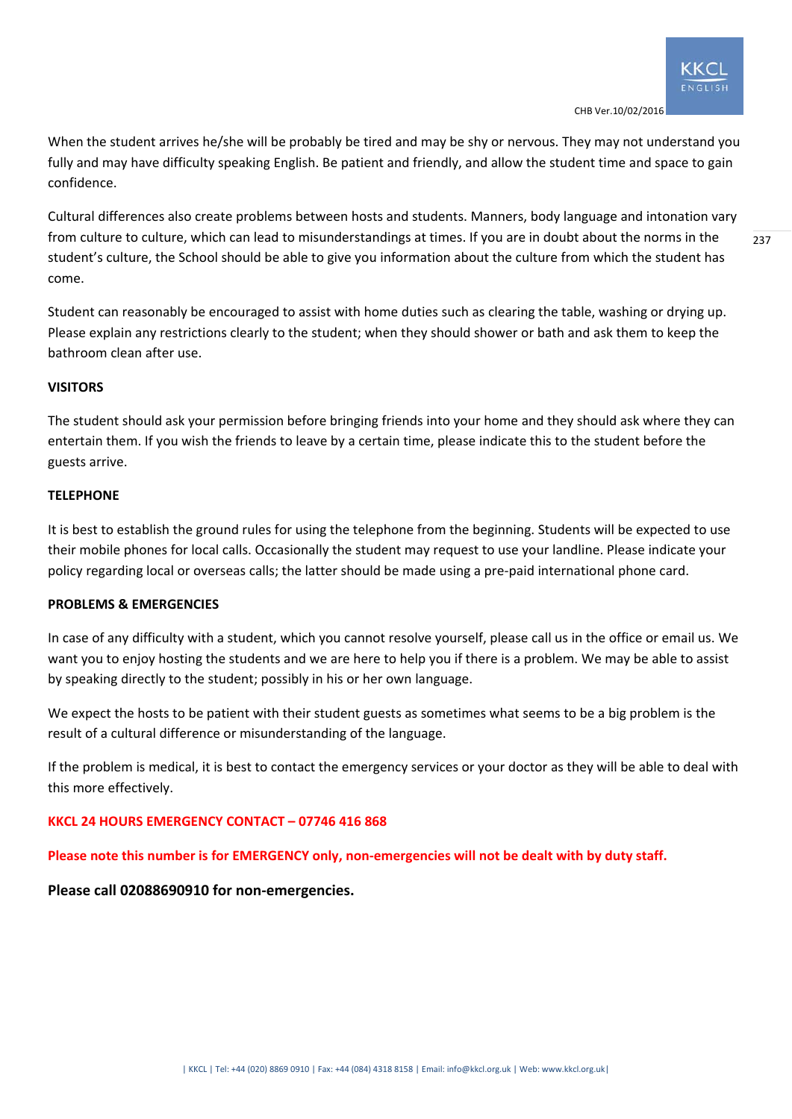When the student arrives he/she will be probably be tired and may be shy or nervous. They may not understand you fully and may have difficulty speaking English. Be patient and friendly, and allow the student time and space to gain confidence.

Cultural differences also create problems between hosts and students. Manners, body language and intonation vary from culture to culture, which can lead to misunderstandings at times. If you are in doubt about the norms in the student's culture, the School should be able to give you information about the culture from which the student has come.

Student can reasonably be encouraged to assist with home duties such as clearing the table, washing or drying up. Please explain any restrictions clearly to the student; when they should shower or bath and ask them to keep the bathroom clean after use.

### **VISITORS**

The student should ask your permission before bringing friends into your home and they should ask where they can entertain them. If you wish the friends to leave by a certain time, please indicate this to the student before the guests arrive.

#### **TELEPHONE**

It is best to establish the ground rules for using the telephone from the beginning. Students will be expected to use their mobile phones for local calls. Occasionally the student may request to use your landline. Please indicate your policy regarding local or overseas calls; the latter should be made using a pre‐paid international phone card.

#### **PROBLEMS & EMERGENCIES**

In case of any difficulty with a student, which you cannot resolve yourself, please call us in the office or email us. We want you to enjoy hosting the students and we are here to help you if there is a problem. We may be able to assist by speaking directly to the student; possibly in his or her own language.

We expect the hosts to be patient with their student guests as sometimes what seems to be a big problem is the result of a cultural difference or misunderstanding of the language.

If the problem is medical, it is best to contact the emergency services or your doctor as they will be able to deal with this more effectively.

## **KKCL 24 HOURS EMERGENCY CONTACT – 07746 416 868**

#### **Please note this number is for EMERGENCY only, non‐emergencies will not be dealt with by duty staff.**

**Please call 02088690910 for non‐emergencies.** 

237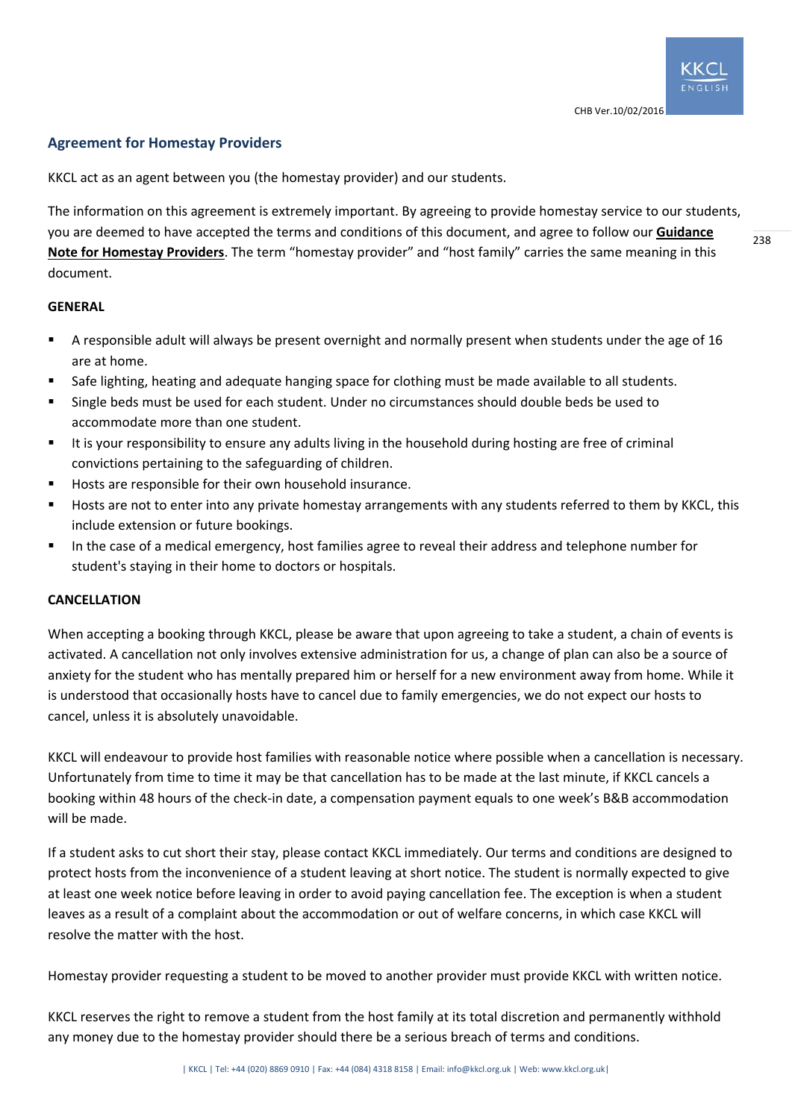# **Agreement for Homestay Providers**

KKCL act as an agent between you (the homestay provider) and our students.

The information on this agreement is extremely important. By agreeing to provide homestay service to our students, you are deemed to have accepted the terms and conditions of this document, and agree to follow our **Guidance Note for Homestay Providers**. The term "homestay provider" and "host family" carries the same meaning in this document.

#### **GENERAL**

- A responsible adult will always be present overnight and normally present when students under the age of 16 are at home.
- Safe lighting, heating and adequate hanging space for clothing must be made available to all students.
- Single beds must be used for each student. Under no circumstances should double beds be used to accommodate more than one student.
- It is your responsibility to ensure any adults living in the household during hosting are free of criminal convictions pertaining to the safeguarding of children.
- Hosts are responsible for their own household insurance.
- Hosts are not to enter into any private homestay arrangements with any students referred to them by KKCL, this include extension or future bookings.
- In the case of a medical emergency, host families agree to reveal their address and telephone number for student's staying in their home to doctors or hospitals.

#### **CANCELLATION**

When accepting a booking through KKCL, please be aware that upon agreeing to take a student, a chain of events is activated. A cancellation not only involves extensive administration for us, a change of plan can also be a source of anxiety for the student who has mentally prepared him or herself for a new environment away from home. While it is understood that occasionally hosts have to cancel due to family emergencies, we do not expect our hosts to cancel, unless it is absolutely unavoidable.

KKCL will endeavour to provide host families with reasonable notice where possible when a cancellation is necessary. Unfortunately from time to time it may be that cancellation has to be made at the last minute, if KKCL cancels a booking within 48 hours of the check‐in date, a compensation payment equals to one week's B&B accommodation will be made.

If a student asks to cut short their stay, please contact KKCL immediately. Our terms and conditions are designed to protect hosts from the inconvenience of a student leaving at short notice. The student is normally expected to give at least one week notice before leaving in order to avoid paying cancellation fee. The exception is when a student leaves as a result of a complaint about the accommodation or out of welfare concerns, in which case KKCL will resolve the matter with the host.

Homestay provider requesting a student to be moved to another provider must provide KKCL with written notice.

KKCL reserves the right to remove a student from the host family at its total discretion and permanently withhold any money due to the homestay provider should there be a serious breach of terms and conditions.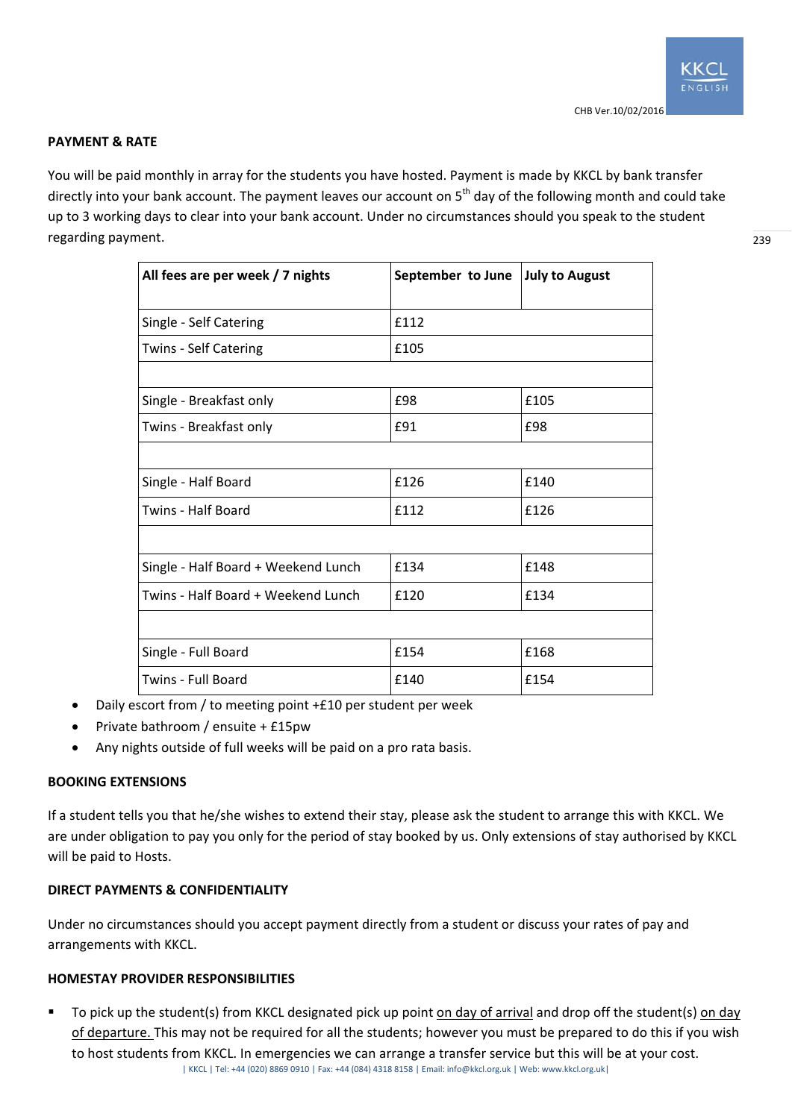## **PAYMENT & RATE**

You will be paid monthly in array for the students you have hosted. Payment is made by KKCL by bank transfer directly into your bank account. The payment leaves our account on 5<sup>th</sup> day of the following month and could take up to 3 working days to clear into your bank account. Under no circumstances should you speak to the student regarding payment.

| All fees are per week / 7 nights    | September to June | <b>July to August</b> |
|-------------------------------------|-------------------|-----------------------|
| Single - Self Catering              | £112              |                       |
| Twins - Self Catering               | £105              |                       |
|                                     |                   |                       |
| Single - Breakfast only             | £98               | £105                  |
| Twins - Breakfast only              | £91               | £98                   |
|                                     |                   |                       |
| Single - Half Board                 | f126              | £140                  |
| Twins - Half Board                  | £112              | £126                  |
|                                     |                   |                       |
| Single - Half Board + Weekend Lunch | £134              | £148                  |
| Twins - Half Board + Weekend Lunch  | £120              | £134                  |
|                                     |                   |                       |
| Single - Full Board                 | £154              | £168                  |
| Twins - Full Board                  | £140              | £154                  |

- Daily escort from / to meeting point +£10 per student per week
- Private bathroom / ensuite + £15pw
- Any nights outside of full weeks will be paid on a pro rata basis.

## **BOOKING EXTENSIONS**

If a student tells you that he/she wishes to extend their stay, please ask the student to arrange this with KKCL. We are under obligation to pay you only for the period of stay booked by us. Only extensions of stay authorised by KKCL will be paid to Hosts.

# **DIRECT PAYMENTS & CONFIDENTIALITY**

Under no circumstances should you accept payment directly from a student or discuss your rates of pay and arrangements with KKCL.

#### **HOMESTAY PROVIDER RESPONSIBILITIES**

| KKCL | Tel: +44 (020) 8869 0910 | Fax: +44 (084) 4318 8158 | Email: info@kkcl.org.uk | Web: www.kkcl.org.uk| To pick up the student(s) from KKCL designated pick up point on day of arrival and drop off the student(s) on day of departure. This may not be required for all the students; however you must be prepared to do this if you wish to host students from KKCL. In emergencies we can arrange a transfer service but this will be at your cost.

239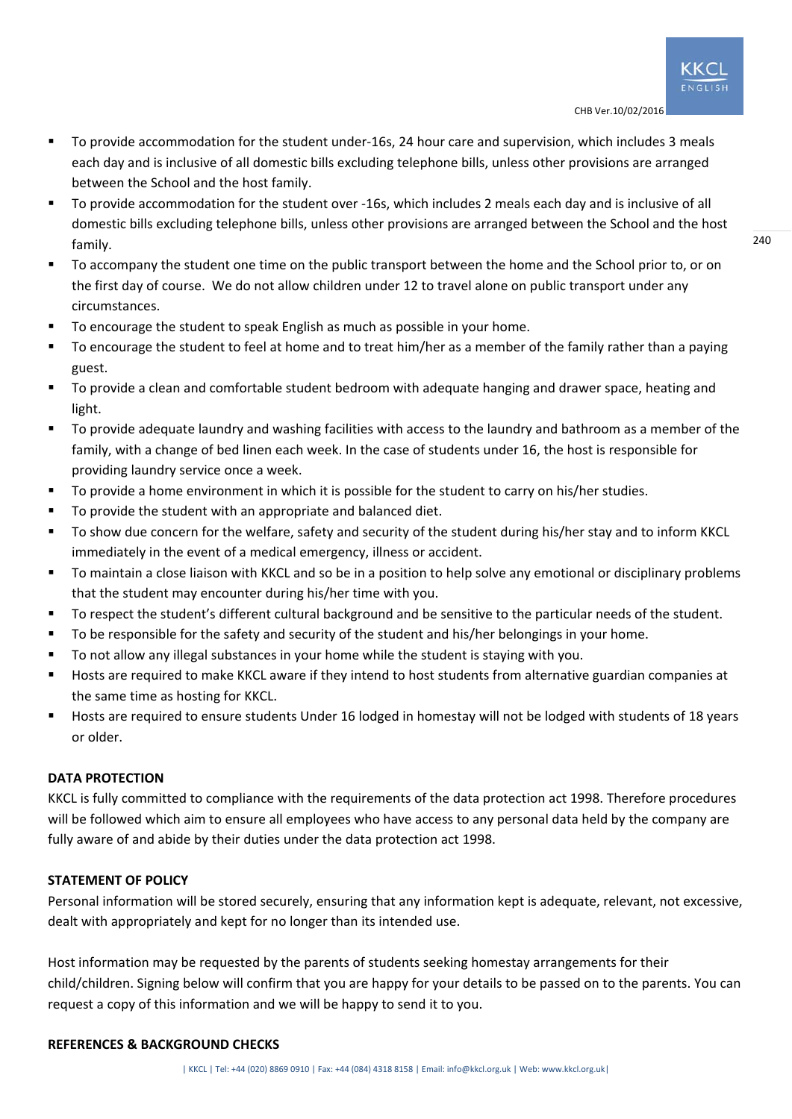- To provide accommodation for the student under-16s, 24 hour care and supervision, which includes 3 meals each day and is inclusive of all domestic bills excluding telephone bills, unless other provisions are arranged between the School and the host family.
- To provide accommodation for the student over -16s, which includes 2 meals each day and is inclusive of all domestic bills excluding telephone bills, unless other provisions are arranged between the School and the host family.
- To accompany the student one time on the public transport between the home and the School prior to, or on the first day of course. We do not allow children under 12 to travel alone on public transport under any circumstances.
- To encourage the student to speak English as much as possible in your home.
- To encourage the student to feel at home and to treat him/her as a member of the family rather than a paying guest.
- To provide a clean and comfortable student bedroom with adequate hanging and drawer space, heating and light.
- To provide adequate laundry and washing facilities with access to the laundry and bathroom as a member of the family, with a change of bed linen each week. In the case of students under 16, the host is responsible for providing laundry service once a week.
- To provide a home environment in which it is possible for the student to carry on his/her studies.
- To provide the student with an appropriate and balanced diet.
- To show due concern for the welfare, safety and security of the student during his/her stay and to inform KKCL immediately in the event of a medical emergency, illness or accident.
- To maintain a close liaison with KKCL and so be in a position to help solve any emotional or disciplinary problems that the student may encounter during his/her time with you.
- To respect the student's different cultural background and be sensitive to the particular needs of the student.
- To be responsible for the safety and security of the student and his/her belongings in your home.
- To not allow any illegal substances in your home while the student is staying with you.
- Hosts are required to make KKCL aware if they intend to host students from alternative guardian companies at the same time as hosting for KKCL.
- Hosts are required to ensure students Under 16 lodged in homestay will not be lodged with students of 18 years or older.

# **DATA PROTECTION**

KKCL is fully committed to compliance with the requirements of the data protection act 1998. Therefore procedures will be followed which aim to ensure all employees who have access to any personal data held by the company are fully aware of and abide by their duties under the data protection act 1998.

# **STATEMENT OF POLICY**

Personal information will be stored securely, ensuring that any information kept is adequate, relevant, not excessive, dealt with appropriately and kept for no longer than its intended use.

Host information may be requested by the parents of students seeking homestay arrangements for their child/children. Signing below will confirm that you are happy for your details to be passed on to the parents. You can request a copy of this information and we will be happy to send it to you.

## **REFERENCES & BACKGROUND CHECKS**